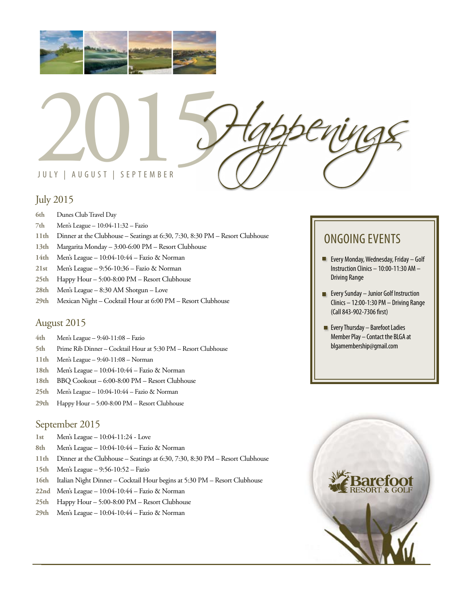



## July 2015

- **6th** Dunes Club Travel Day
- **7th** Men's League 10:04-11:32 Fazio
- **11th** Dinner at the Clubhouse Seatings at 6:30, 7:30, 8:30 PM Resort Clubhouse
- **13th** Margarita Monday 3:00-6:00 PM Resort Clubhouse
- **14th** Men's League 10:04-10:44 Fazio & Norman
- **21st** Men's League 9:56-10:36 Fazio & Norman
- **25th** Happy Hour 5:00-8:00 PM Resort Clubhouse
- **28th** Men's League 8:30 AM Shotgun Love
- **29th** Mexican Night Cocktail Hour at 6:00 PM Resort Clubhouse

## August 2015

- **4th** Men's League 9:40-11:08 Fazio
- **5th** Prime Rib Dinner Cocktail Hour at 5:30 PM Resort Clubhouse
- **11th** Men's League 9:40-11:08 Norman
- **18th** Men's League 10:04-10:44 Fazio & Norman
- **18th** BBQ Cookout 6:00-8:00 PM Resort Clubhouse
- **25th** Men's League 10:04-10:44 Fazio & Norman
- **29th** Happy Hour 5:00-8:00 PM Resort Clubhouse

### September 2015

- **1st** Men's League 10:04-11:24 Love
- **8th** Men's League 10:04-10:44 Fazio & Norman
- **11th** Dinner at the Clubhouse Seatings at 6:30, 7:30, 8:30 PM Resort Clubhouse
- **15th** Men's League 9:56-10:52 Fazio
- **16th** Italian Night Dinner Cocktail Hour begins at 5:30 PM Resort Clubhouse
- **22nd** Men's League 10:04-10:44 Fazio & Norman
- **25th** Happy Hour 5:00-8:00 PM Resort Clubhouse
- **29th** Men's League 10:04-10:44 Fazio & Norman

## ONGOING EVENTS

- **Every Monday, Wednesday, Friday Golf** Instruction Clinics – 10:00-11:30 AM – Driving Range
- **EVERY Sunday Junior Golf Instruction** Clinics – 12:00-1:30 PM – Driving Range (Call 843-902-7306 first)
- $\blacksquare$  Every Thursday Barefoot Ladies Member Play – Contact the BLGA at blgamembership@gmail.com